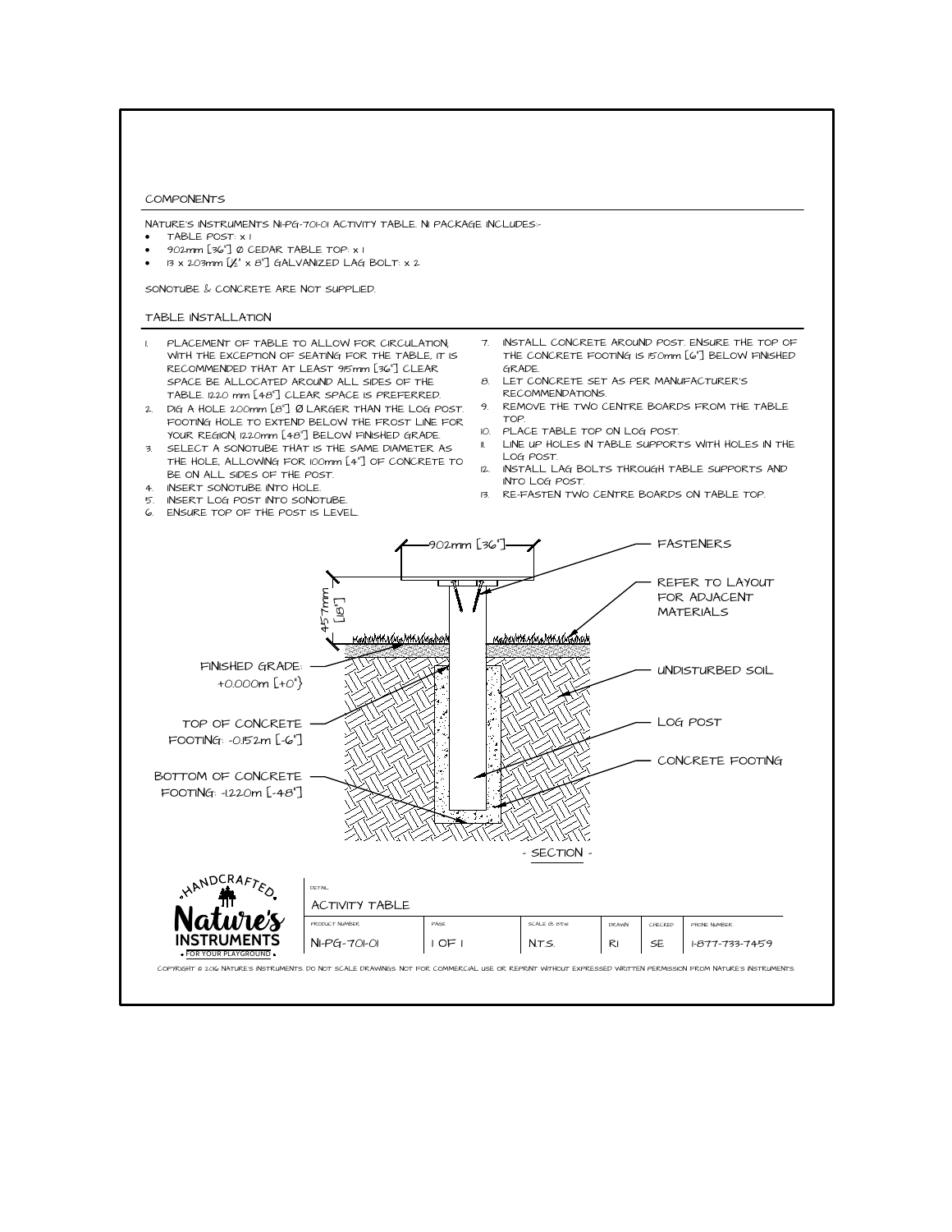

<sup>x</sup> 13 x 203mm [<sup>1</sup> 2" x 8"] GALVANIZED LAG BOLT: x 2

- 
- TABLE POST: x 1<br>902mm [36"] 0 CEDAR TABLE TOP: x 1
- COMPONENTS<br>
NATURE'S INSTRUMENTS NI-PG-701-01 ACTIVITY<br>
 TABLE POST: x 1<br>
 902mm [36"] Ø CEDAR TABLE TOP: x 1<br>
 13 x 203mm [½" x 8"] GALVANIZED LAG B<br>
SONOTUBE & CONCRETE ARE NOT SUPPLIED.